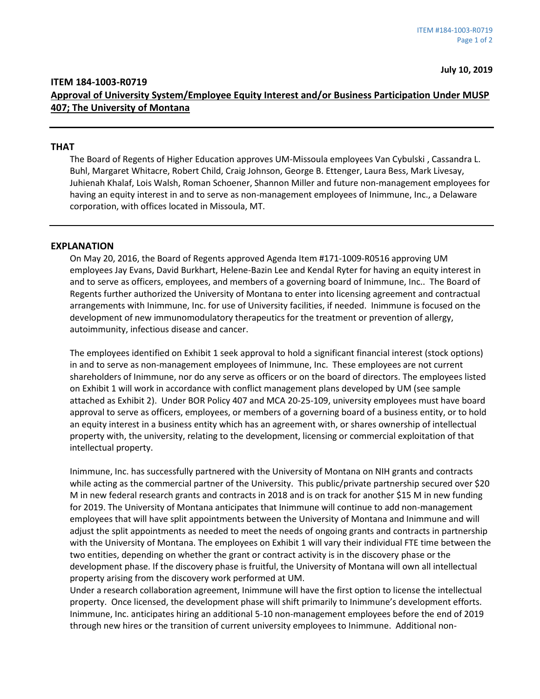## **ITEM 184-1003-R0719 Approval of University System/Employee Equity Interest and/or Business Participation Under MUSP 407; The University of Montana**

## **THAT**

The Board of Regents of Higher Education approves UM-Missoula employees Van Cybulski , Cassandra L. Buhl, Margaret Whitacre, Robert Child, Craig Johnson, George B. Ettenger, Laura Bess, Mark Livesay, Juhienah Khalaf, Lois Walsh, Roman Schoener, Shannon Miller and future non-management employees for having an equity interest in and to serve as non-management employees of Inimmune, Inc., a Delaware corporation, with offices located in Missoula, MT.

## **EXPLANATION**

On May 20, 2016, the Board of Regents approved Agenda Item #171-1009-R0516 approving UM employees Jay Evans, David Burkhart, Helene-Bazin Lee and Kendal Ryter for having an equity interest in and to serve as officers, employees, and members of a governing board of Inimmune, Inc.. The Board of Regents further authorized the University of Montana to enter into licensing agreement and contractual arrangements with Inimmune, Inc. for use of University facilities, if needed. Inimmune is focused on the development of new immunomodulatory therapeutics for the treatment or prevention of allergy, autoimmunity, infectious disease and cancer.

The employees identified on Exhibit 1 seek approval to hold a significant financial interest (stock options) in and to serve as non-management employees of Inimmune, Inc. These employees are not current shareholders of Inimmune, nor do any serve as officers or on the board of directors. The employees listed on Exhibit 1 will work in accordance with conflict management plans developed by UM (see sample attached as Exhibit 2). Under BOR Policy 407 and MCA 20-25-109, university employees must have board approval to serve as officers, employees, or members of a governing board of a business entity, or to hold an equity interest in a business entity which has an agreement with, or shares ownership of intellectual property with, the university, relating to the development, licensing or commercial exploitation of that intellectual property.

Inimmune, Inc. has successfully partnered with the University of Montana on NIH grants and contracts while acting as the commercial partner of the University. This public/private partnership secured over \$20 M in new federal research grants and contracts in 2018 and is on track for another \$15 M in new funding for 2019. The University of Montana anticipates that Inimmune will continue to add non-management employees that will have split appointments between the University of Montana and Inimmune and will adjust the split appointments as needed to meet the needs of ongoing grants and contracts in partnership with the University of Montana. The employees on Exhibit 1 will vary their individual FTE time between the two entities, depending on whether the grant or contract activity is in the discovery phase or the development phase. If the discovery phase is fruitful, the University of Montana will own all intellectual property arising from the discovery work performed at UM.

Under a research collaboration agreement, Inimmune will have the first option to license the intellectual property. Once licensed, the development phase will shift primarily to Inimmune's development efforts. Inimmune, Inc. anticipates hiring an additional 5-10 non-management employees before the end of 2019 through new hires or the transition of current university employees to Inimmune. Additional non